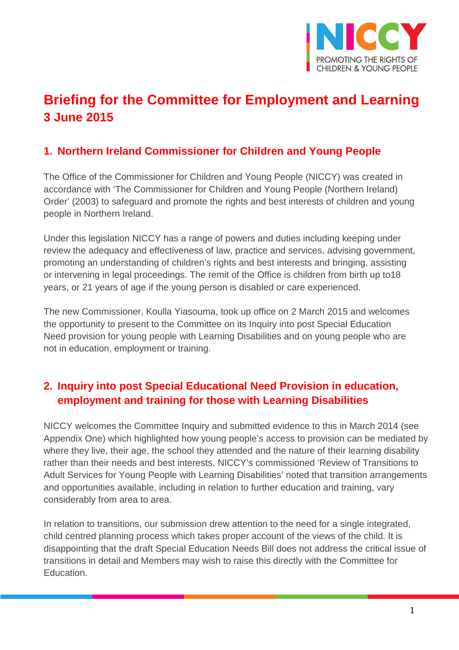

# **Briefing for the Committee for Employment and Learning 3 June 2015**

### **1. Northern Ireland Commissioner for Children and Young People**

The Office of the Commissioner for Children and Young People (NICCY) was created in accordance with 'The Commissioner for Children and Young People (Northern Ireland) Order' (2003) to safeguard and promote the rights and best interests of children and young people in Northern Ireland.

Under this legislation NICCY has a range of powers and duties including keeping under review the adequacy and effectiveness of law, practice and services, advising government, promoting an understanding of children's rights and best interests and bringing, assisting or intervening in legal proceedings. The remit of the Office is children from birth up to18 years, or 21 years of age if the young person is disabled or care experienced.

The new Commissioner, Koulla Yiasouma, took up office on 2 March 2015 and welcomes the opportunity to present to the Committee on its Inquiry into post Special Education Need provision for young people with Learning Disabilities and on young people who are not in education, employment or training.

## **2. Inquiry into post Special Educational Need Provision in education, employment and training for those with Learning Disabilities**

NICCY welcomes the Committee Inquiry and submitted evidence to this in March 2014 (see Appendix One) which highlighted how young people's access to provision can be mediated by where they live, their age, the school they attended and the nature of their learning disability rather than their needs and best interests. NICCY's commissioned 'Review of Transitions to Adult Services for Young People with Learning Disabilities' noted that transition arrangements and opportunities available, including in relation to further education and training, vary considerably from area to area.

In relation to transitions, our submission drew attention to the need for a single integrated, child centred planning process which takes proper account of the views of the child. It is disappointing that the draft Special Education Needs Bill does not address the critical issue of transitions in detail and Members may wish to raise this directly with the Committee for Education.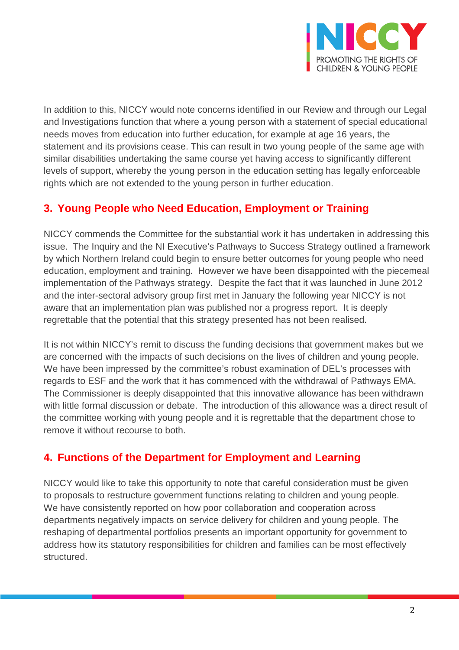

In addition to this, NICCY would note concerns identified in our Review and through our Legal and Investigations function that where a young person with a statement of special educational needs moves from education into further education, for example at age 16 years, the statement and its provisions cease. This can result in two young people of the same age with similar disabilities undertaking the same course yet having access to significantly different levels of support, whereby the young person in the education setting has legally enforceable rights which are not extended to the young person in further education.

## **3. Young People who Need Education, Employment or Training**

NICCY commends the Committee for the substantial work it has undertaken in addressing this issue. The Inquiry and the NI Executive's Pathways to Success Strategy outlined a framework by which Northern Ireland could begin to ensure better outcomes for young people who need education, employment and training. However we have been disappointed with the piecemeal implementation of the Pathways strategy. Despite the fact that it was launched in June 2012 and the inter-sectoral advisory group first met in January the following year NICCY is not aware that an implementation plan was published nor a progress report. It is deeply regrettable that the potential that this strategy presented has not been realised.

It is not within NICCY's remit to discuss the funding decisions that government makes but we are concerned with the impacts of such decisions on the lives of children and young people. We have been impressed by the committee's robust examination of DEL's processes with regards to ESF and the work that it has commenced with the withdrawal of Pathways EMA. The Commissioner is deeply disappointed that this innovative allowance has been withdrawn with little formal discussion or debate. The introduction of this allowance was a direct result of the committee working with young people and it is regrettable that the department chose to remove it without recourse to both.

## **4. Functions of the Department for Employment and Learning**

NICCY would like to take this opportunity to note that careful consideration must be given to proposals to restructure government functions relating to children and young people. We have consistently reported on how poor collaboration and cooperation across departments negatively impacts on service delivery for children and young people. The reshaping of departmental portfolios presents an important opportunity for government to address how its statutory responsibilities for children and families can be most effectively structured.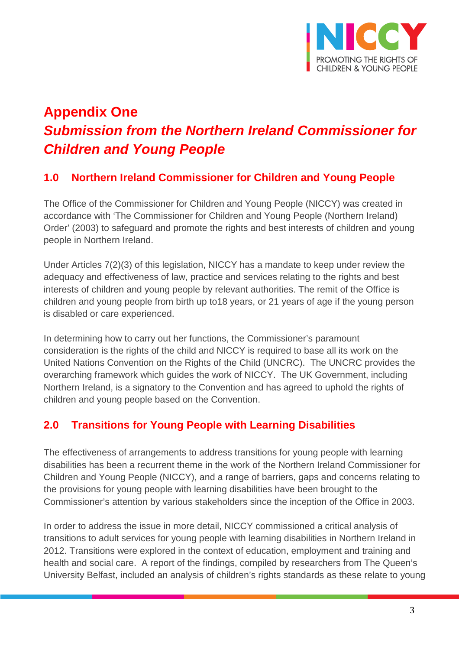

# **Appendix One** *Submission from the Northern Ireland Commissioner for Children and Young People*

## **1.0 Northern Ireland Commissioner for Children and Young People**

The Office of the Commissioner for Children and Young People (NICCY) was created in accordance with 'The Commissioner for Children and Young People (Northern Ireland) Order' (2003) to safeguard and promote the rights and best interests of children and young people in Northern Ireland.

Under Articles 7(2)(3) of this legislation, NICCY has a mandate to keep under review the adequacy and effectiveness of law, practice and services relating to the rights and best interests of children and young people by relevant authorities. The remit of the Office is children and young people from birth up to18 years, or 21 years of age if the young person is disabled or care experienced.

In determining how to carry out her functions, the Commissioner's paramount consideration is the rights of the child and NICCY is required to base all its work on the United Nations Convention on the Rights of the Child (UNCRC). The UNCRC provides the overarching framework which guides the work of NICCY. The UK Government, including Northern Ireland, is a signatory to the Convention and has agreed to uphold the rights of children and young people based on the Convention.

## **2.0 Transitions for Young People with Learning Disabilities**

The effectiveness of arrangements to address transitions for young people with learning disabilities has been a recurrent theme in the work of the Northern Ireland Commissioner for Children and Young People (NICCY), and a range of barriers, gaps and concerns relating to the provisions for young people with learning disabilities have been brought to the Commissioner's attention by various stakeholders since the inception of the Office in 2003.

In order to address the issue in more detail, NICCY commissioned a critical analysis of transitions to adult services for young people with learning disabilities in Northern Ireland in 2012. Transitions were explored in the context of education, employment and training and health and social care. A report of the findings, compiled by researchers from The Queen's University Belfast, included an analysis of children's rights standards as these relate to young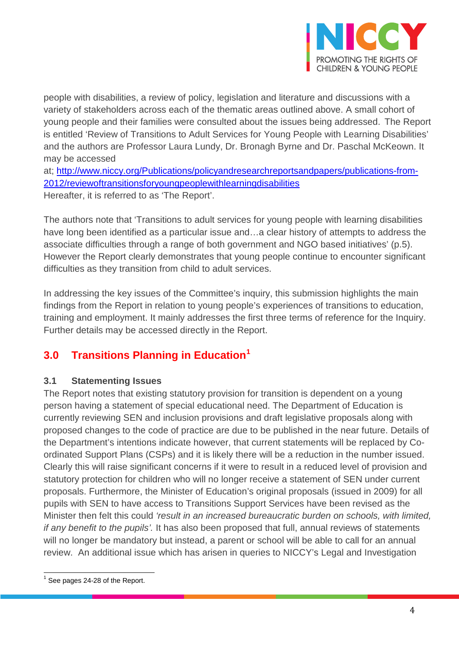

people with disabilities, a review of policy, legislation and literature and discussions with a variety of stakeholders across each of the thematic areas outlined above. A small cohort of young people and their families were consulted about the issues being addressed. The Report is entitled 'Review of Transitions to Adult Services for Young People with Learning Disabilities' and the authors are Professor Laura Lundy, Dr. Bronagh Byrne and Dr. Paschal McKeown. It may be accessed

at; [http://www.niccy.org/Publications/policyandresearchreportsandpapers/publications-from-](http://www.niccy.org/Publications/policyandresearchreportsandpapers/publications-from-2012/reviewoftransitionsforyoungpeoplewithlearningdisabilities)[2012/reviewoftransitionsforyoungpeoplewithlearningdisabilities](http://www.niccy.org/Publications/policyandresearchreportsandpapers/publications-from-2012/reviewoftransitionsforyoungpeoplewithlearningdisabilities) Hereafter, it is referred to as 'The Report'.

The authors note that 'Transitions to adult services for young people with learning disabilities have long been identified as a particular issue and...a clear history of attempts to address the associate difficulties through a range of both government and NGO based initiatives' (p.5). However the Report clearly demonstrates that young people continue to encounter significant difficulties as they transition from child to adult services.

In addressing the key issues of the Committee's inquiry, this submission highlights the main findings from the Report in relation to young people's experiences of transitions to education, training and employment. It mainly addresses the first three terms of reference for the Inquiry. Further details may be accessed directly in the Report.

## **3.0 Transitions Planning in Education[1](#page-3-0)**

#### **3.1 Statementing Issues**

The Report notes that existing statutory provision for transition is dependent on a young person having a statement of special educational need. The Department of Education is currently reviewing SEN and inclusion provisions and draft legislative proposals along with proposed changes to the code of practice are due to be published in the near future. Details of the Department's intentions indicate however, that current statements will be replaced by Coordinated Support Plans (CSPs) and it is likely there will be a reduction in the number issued. Clearly this will raise significant concerns if it were to result in a reduced level of provision and statutory protection for children who will no longer receive a statement of SEN under current proposals. Furthermore, the Minister of Education's original proposals (issued in 2009) for all pupils with SEN to have access to Transitions Support Services have been revised as the Minister then felt this could *'result in an increased bureaucratic burden on schools, with limited, if any benefit to the pupils'.* It has also been proposed that full, annual reviews of statements will no longer be mandatory but instead, a parent or school will be able to call for an annual review. An additional issue which has arisen in queries to NICCY's Legal and Investigation

<span id="page-3-0"></span> $<sup>1</sup>$  See pages 24-28 of the Report.</sup>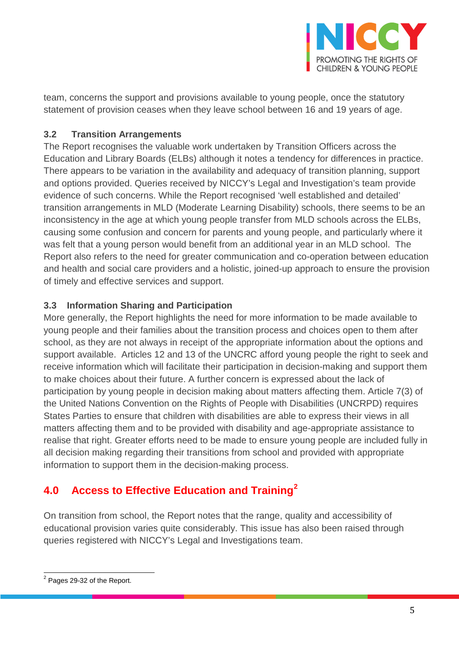

team, concerns the support and provisions available to young people, once the statutory statement of provision ceases when they leave school between 16 and 19 years of age.

#### **3.2 Transition Arrangements**

The Report recognises the valuable work undertaken by Transition Officers across the Education and Library Boards (ELBs) although it notes a tendency for differences in practice. There appears to be variation in the availability and adequacy of transition planning, support and options provided. Queries received by NICCY's Legal and Investigation's team provide evidence of such concerns. While the Report recognised 'well established and detailed' transition arrangements in MLD (Moderate Learning Disability) schools, there seems to be an inconsistency in the age at which young people transfer from MLD schools across the ELBs, causing some confusion and concern for parents and young people, and particularly where it was felt that a young person would benefit from an additional year in an MLD school. The Report also refers to the need for greater communication and co-operation between education and health and social care providers and a holistic, joined-up approach to ensure the provision of timely and effective services and support.

#### **3.3 Information Sharing and Participation**

More generally, the Report highlights the need for more information to be made available to young people and their families about the transition process and choices open to them after school, as they are not always in receipt of the appropriate information about the options and support available. Articles 12 and 13 of the UNCRC afford young people the right to seek and receive information which will facilitate their participation in decision-making and support them to make choices about their future. A further concern is expressed about the lack of participation by young people in decision making about matters affecting them. Article 7(3) of the United Nations Convention on the Rights of People with Disabilities (UNCRPD) requires States Parties to ensure that children with disabilities are able to express their views in all matters affecting them and to be provided with disability and age-appropriate assistance to realise that right. Greater efforts need to be made to ensure young people are included fully in all decision making regarding their transitions from school and provided with appropriate information to support them in the decision-making process.

## **4.0 Access to Effective Education and Training[2](#page-4-0)**

On transition from school, the Report notes that the range, quality and accessibility of educational provision varies quite considerably. This issue has also been raised through queries registered with NICCY's Legal and Investigations team.

<span id="page-4-0"></span><sup>2</sup> Pages 29-32 of the Report.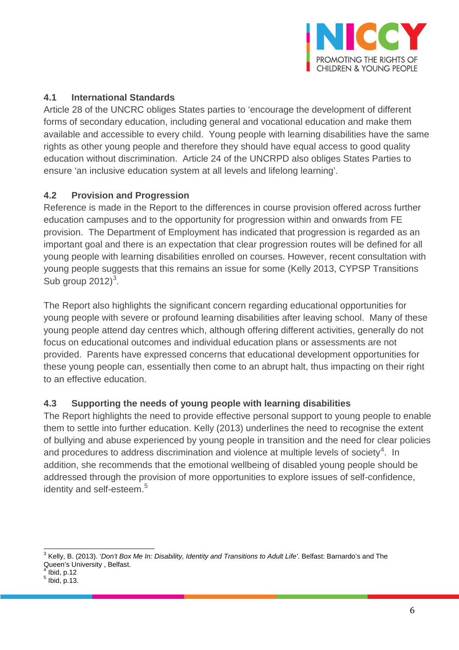

#### **4.1 International Standards**

Article 28 of the UNCRC obliges States parties to 'encourage the development of different forms of secondary education, including general and vocational education and make them available and accessible to every child. Young people with learning disabilities have the same rights as other young people and therefore they should have equal access to good quality education without discrimination. Article 24 of the UNCRPD also obliges States Parties to ensure 'an inclusive education system at all levels and lifelong learning'.

#### **4.2 Provision and Progression**

Reference is made in the Report to the differences in course provision offered across further education campuses and to the opportunity for progression within and onwards from FE provision. The Department of Employment has indicated that progression is regarded as an important goal and there is an expectation that clear progression routes will be defined for all young people with learning disabilities enrolled on courses. However, recent consultation with young people suggests that this remains an issue for some (Kelly 2013, CYPSP Transitions Sub group  $2012$ <sup>[3](#page-5-0)</sup>.

The Report also highlights the significant concern regarding educational opportunities for young people with severe or profound learning disabilities after leaving school. Many of these young people attend day centres which, although offering different activities, generally do not focus on educational outcomes and individual education plans or assessments are not provided. Parents have expressed concerns that educational development opportunities for these young people can, essentially then come to an abrupt halt, thus impacting on their right to an effective education.

#### **4.3 Supporting the needs of young people with learning disabilities**

The Report highlights the need to provide effective personal support to young people to enable them to settle into further education. Kelly (2013) underlines the need to recognise the extent of bullying and abuse experienced by young people in transition and the need for clear policies and procedures to address discrimination and violence at multiple levels of society<sup>[4](#page-5-1)</sup>. In addition, she recommends that the emotional wellbeing of disabled young people should be addressed through the provision of more opportunities to explore issues of self-confidence, identity and self-esteem.<sup>[5](#page-5-2)</sup>

<span id="page-5-0"></span><sup>3</sup> Kelly, B. (2013). '*Don't Box Me In: Disability, Identity and Transitions to Adult Life'*. Belfast: Barnardo's and The Queen's University, Belfast.<br> $\frac{4 \text{}}{1}$  lbid. p.12

<span id="page-5-1"></span>

<span id="page-5-2"></span> $<sup>5</sup>$  Ibid, p.13.</sup>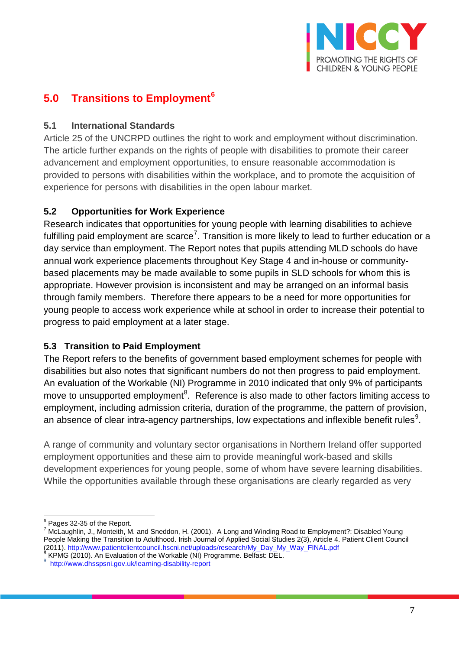

## **5.0 Transitions to Employment[6](#page-6-0)**

#### **5.1 International Standards**

Article 25 of the UNCRPD outlines the right to work and employment without discrimination. The article further expands on the rights of people with disabilities to promote their career advancement and employment opportunities, to ensure reasonable accommodation is provided to persons with disabilities within the workplace, and to promote the acquisition of experience for persons with disabilities in the open labour market.

#### **5.2 Opportunities for Work Experience**

Research indicates that opportunities for young people with learning disabilities to achieve fulfilling paid employment are scarce<sup>[7](#page-6-1)</sup>. Transition is more likely to lead to further education or a day service than employment. The Report notes that pupils attending MLD schools do have annual work experience placements throughout Key Stage 4 and in-house or communitybased placements may be made available to some pupils in SLD schools for whom this is appropriate. However provision is inconsistent and may be arranged on an informal basis through family members. Therefore there appears to be a need for more opportunities for young people to access work experience while at school in order to increase their potential to progress to paid employment at a later stage.

#### **5.3 Transition to Paid Employment**

The Report refers to the benefits of government based employment schemes for people with disabilities but also notes that significant numbers do not then progress to paid employment. An evaluation of the Workable (NI) Programme in 2010 indicated that only 9% of participants move to unsupported employment<sup>[8](#page-6-2)</sup>. Reference is also made to other factors limiting access to employment, including admission criteria, duration of the programme, the pattern of provision, an absence of clear intra-agency partnerships, low expectations and inflexible benefit rules $^9$  $^9$ .

A range of community and voluntary sector organisations in Northern Ireland offer supported employment opportunities and these aim to provide meaningful work-based and skills development experiences for young people, some of whom have severe learning disabilities. While the opportunities available through these organisations are clearly regarded as very

<span id="page-6-1"></span><span id="page-6-0"></span> $^6$  Pages 32-35 of the Report.<br><sup>7</sup> McLaughlin, J., Monteith, M. and Sneddon, H. (2001). A Long and Winding Road to Employment?: Disabled Young People Making the Transition to Adulthood. Irish Journal of Applied Social Studies 2(3), Article 4. Patient Client Council (2011). http://www.patientclientcouncil.hscni.net/uploads/research/My\_Day\_My\_Way\_FINAL.pdf

<span id="page-6-2"></span>KPMG (2010). An Evaluation of the Workable (NI) Programme. Belfast: DEL.

<span id="page-6-3"></span><http://www.dhsspsni.gov.uk/learning-disability-report>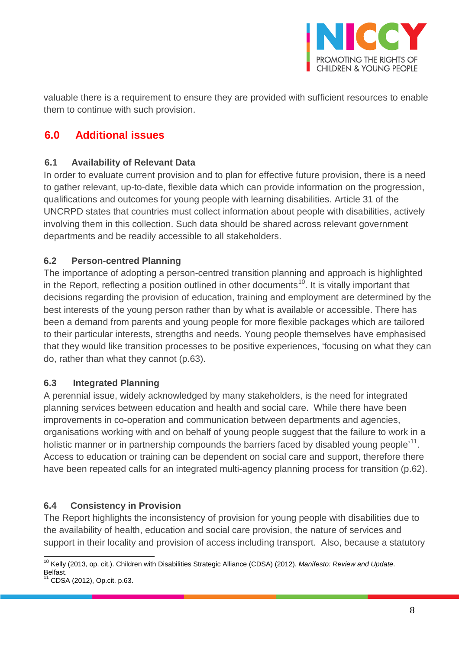

valuable there is a requirement to ensure they are provided with sufficient resources to enable them to continue with such provision.

## **6.0 Additional issues**

#### **6.1 Availability of Relevant Data**

In order to evaluate current provision and to plan for effective future provision, there is a need to gather relevant, up-to-date, flexible data which can provide information on the progression, qualifications and outcomes for young people with learning disabilities. Article 31 of the UNCRPD states that countries must collect information about people with disabilities, actively involving them in this collection. Such data should be shared across relevant government departments and be readily accessible to all stakeholders.

#### **6.2 Person-centred Planning**

The importance of adopting a person-centred transition planning and approach is highlighted in the Report, reflecting a position outlined in other documents<sup>10</sup>. It is vitally important that decisions regarding the provision of education, training and employment are determined by the best interests of the young person rather than by what is available or accessible. There has been a demand from parents and young people for more flexible packages which are tailored to their particular interests, strengths and needs. Young people themselves have emphasised that they would like transition processes to be positive experiences, 'focusing on what they can do, rather than what they cannot (p.63).

#### **6.3 Integrated Planning**

A perennial issue, widely acknowledged by many stakeholders, is the need for integrated planning services between education and health and social care. While there have been improvements in co-operation and communication between departments and agencies, organisations working with and on behalf of young people suggest that the failure to work in a holistic manner or in partnership compounds the barriers faced by disabled young people<sup>'11</sup>. Access to education or training can be dependent on social care and support, therefore there have been repeated calls for an integrated multi-agency planning process for transition (p.62).

#### **6.4 Consistency in Provision**

The Report highlights the inconsistency of provision for young people with disabilities due to the availability of health, education and social care provision, the nature of services and support in their locality and provision of access including transport. Also, because a statutory

<span id="page-7-0"></span><sup>10</sup> Kelly (2013, op. cit.). Children with Disabilities Strategic Alliance (CDSA) (2012). *Manifesto: Review and Update*.

<span id="page-7-1"></span><sup>&</sup>lt;sup>11</sup> CDSA (2012), Op.cit. p.63.